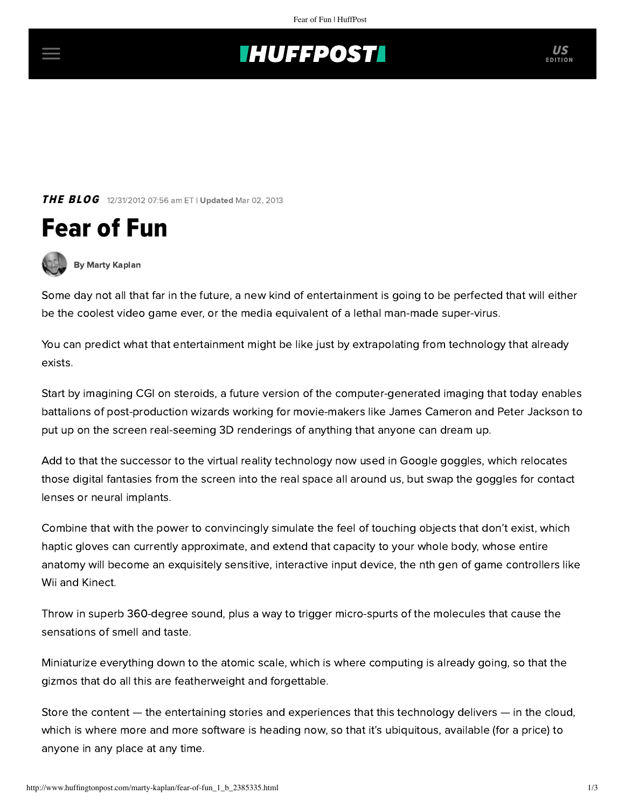## **THUFFPOSTI** US

**THE BLOG** 12/31/2012 07:56 am ET | Updated Mar 02, 2013





[By Marty Kaplan](http://www.huffingtonpost.com/author/marty-kaplan)

Some day not all that far in the future, a new kind of entertainment is going to be perfected that will either be the coolest video game ever, or the media equivalent of a lethal man-made super-virus.

You can predict what that entertainment might be like just by extrapolating from technology that already exists.

Start by imagining CGI on steroids, a future version of the computer-generated imaging that today enables battalions of post-production wizards working for movie-makers like James Cameron and Peter Jackson to put up on the screen real-seeming 3D renderings of anything that anyone can dream up.

Add to that the successor to the virtual reality technology now used in Google goggles, which relocates those digital fantasies from the screen into the real space all around us, but swap the goggles for contact lenses or neural implants.

Combine that with the power to convincingly simulate the feel of touching objects that don't exist, which haptic gloves can currently approximate, and extend that capacity to your whole body, whose entire anatomy will become an exquisitely sensitive, interactive input device, the nth gen of game controllers like Wii and Kinect.

Throw in superb 360-degree sound, plus a way to trigger micro-spurts of the molecules that cause the sensations of smell and taste.

Miniaturize everything down to the atomic scale, which is where computing is already going, so that the gizmos that do all this are featherweight and forgettable.

Store the content — the entertaining stories and experiences that this technology delivers — in the cloud, which is where more and more software is heading now, so that it's ubiquitous, available (for a price) to anyone in any place at any time.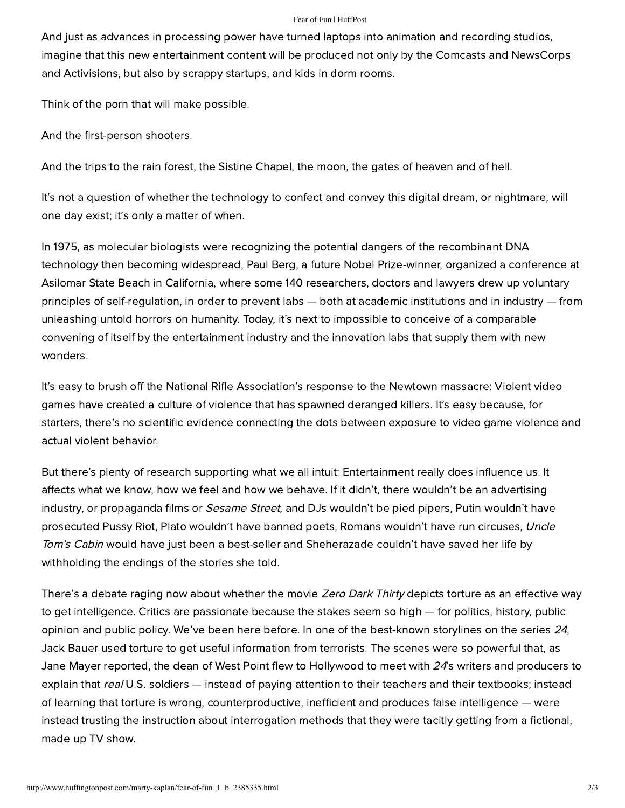## Fear of Fun | HuffPost

And just as advances in processing power have turned laptops into animation and recording studios, imagine that this new entertainment content will be produced not only by the Comcasts and NewsCorps and Activisions, but also by scrappy startups, and kids in dorm rooms.

Think of the porn that will make possible.

And the first-person shooters.

And the trips to the rain forest, the Sistine Chapel, the moon, the gates of heaven and of hell.

It's not a question of whether the technology to confect and convey this digital dream, or nightmare, will one day exist; it's only a matter of when.

In 1975, as molecular biologists were recognizing the potential dangers of the recombinant DNA technology then becoming widespread, [Paul Berg](http://www.nobelprize.org/nobel_prizes/chemistry/laureates/1980/berg-article.html), a future Nobel Prize-winner, organized a conference at Asilomar State Beach in California, where some 140 researchers, doctors and lawyers drew up voluntary principles of self-regulation, in order to prevent labs — both at academic institutions and in industry — from unleashing untold horrors on humanity. Today, it's next to impossible to conceive of a comparable convening of itself by the entertainment industry and the innovation labs that supply them with new wonders.

It's easy to brush off the National Rifle Association's response to the Newtown massacre: Violent video games have created a culture of violence that has spawned deranged killers. It's easy because, for starters, there's [no scientific evidence](http://artsbeat.blogs.nytimes.com/2012/12/24/game-theory-a-year-when-real-world-violence-crept-into-play/) connecting the dots between exposure to video game violence and actual violent behavior.

But there's plenty of [research](http://hollywoodhealthandsociety.org/for-public-health-professionals/research-evaluation/publications) supporting what we all intuit: Entertainment really does [influence us.](http://www.learcenter.org/pdf/FoodInc.pdf) It affects what we know, how we feel and how we behave. If it didn't, there wouldn't be an advertising industry, or propaganda films or *Sesame Street*, and DJs wouldn't be pied pipers, Putin wouldn't have prosecuted Pussy Riot, Plato wouldn't have banned poets, Romans wouldn't have run circuses, Uncle Tom's Cabin would have just been a best-seller and Sheherazade couldn't have saved her life by withholding the endings of the stories she told.

There's a [debate](http://www.nytimes.com/2012/12/13/us/zero-dark-thirty-torture-scenes-reopen-debate.html?ref=todayspaper&pagewanted=all&_r=0) [raging](http://www.guardian.co.uk/commentisfree/2012/dec/24/zero-dark-thirty-torture-bigelow-boal) now about whether the movie Zero Dark Thirty [depicts torture](http://articles.latimes.com/2012/dec/23/opinion/la-oe-1223-mcdermott-torture-bigelow-zero-dark-20121223) as an [effective](http://www.youtube.com/watch?v=FkBqghsCKfg) way to get [intelligence.](http://www.wilshireandwashington.com/2012/12/cia-directors-zero-dark-thirty-statement.html) [Critics](http://www.nytimes.com/2012/12/23/us/politics/acting-cia-director-michael-j-morell-criticizes-zero-dark-thirty.html) are passionate because the stakes seem so high — for politics, history, public opinion and public policy. We've been here before. In one of the best-known storylines on the series <sup>24</sup>, Jack Bauer used torture to get useful information from terrorists. The scenes were so powerful that, as [Jane Mayer reported](http://www.newyorker.com/reporting/2007/02/19/070219fa_fact_mayer), the dean of West Point flew to Hollywood to meet with 24's writers and producers to explain that real U.S. soldiers — instead of paying attention to their teachers and their textbooks; instead of learning that torture is wrong, counterproductive, inefficient and produces false intelligence — were instead trusting the instruction about interrogation methods that they were tacitly getting from a fictional, made up TV show.